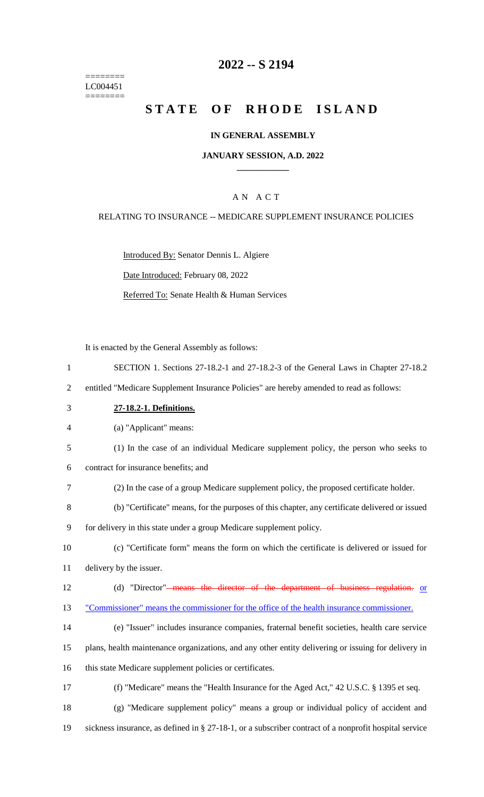======== LC004451 ========

### **2022 -- S 2194**

# **STATE OF RHODE ISLAND**

### **IN GENERAL ASSEMBLY**

### **JANUARY SESSION, A.D. 2022 \_\_\_\_\_\_\_\_\_\_\_\_**

### A N A C T

#### RELATING TO INSURANCE -- MEDICARE SUPPLEMENT INSURANCE POLICIES

Introduced By: Senator Dennis L. Algiere Date Introduced: February 08, 2022

Referred To: Senate Health & Human Services

It is enacted by the General Assembly as follows:

 SECTION 1. Sections 27-18.2-1 and 27-18.2-3 of the General Laws in Chapter 27-18.2 entitled "Medicare Supplement Insurance Policies" are hereby amended to read as follows: **27-18.2-1. Definitions.** (a) "Applicant" means: (1) In the case of an individual Medicare supplement policy, the person who seeks to contract for insurance benefits; and (2) In the case of a group Medicare supplement policy, the proposed certificate holder. (b) "Certificate" means, for the purposes of this chapter, any certificate delivered or issued for delivery in this state under a group Medicare supplement policy. (c) "Certificate form" means the form on which the certificate is delivered or issued for delivery by the issuer. 12 (d) "Director"<del> means the director of the department of business regulation.</del> or "Commissioner" means the commissioner for the office of the health insurance commissioner. (e) "Issuer" includes insurance companies, fraternal benefit societies, health care service plans, health maintenance organizations, and any other entity delivering or issuing for delivery in this state Medicare supplement policies or certificates. (f) "Medicare" means the "Health Insurance for the Aged Act," 42 U.S.C. § 1395 et seq. (g) "Medicare supplement policy" means a group or individual policy of accident and sickness insurance, as defined in § 27-18-1, or a subscriber contract of a nonprofit hospital service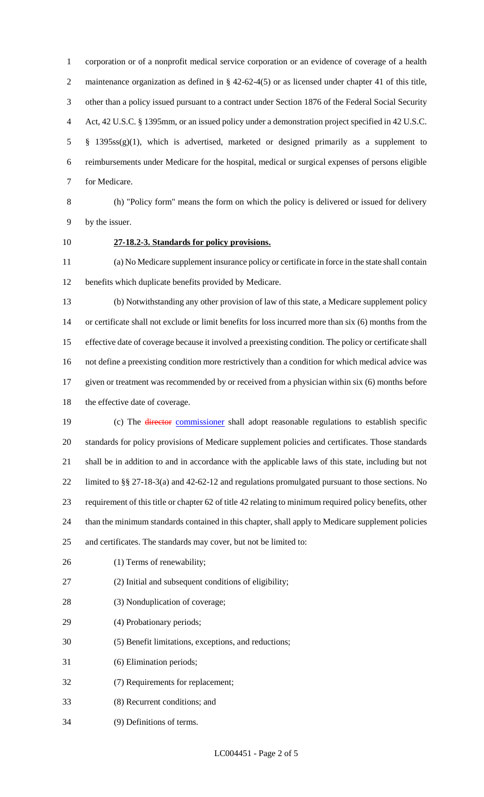corporation or of a nonprofit medical service corporation or an evidence of coverage of a health 2 maintenance organization as defined in § 42-62-4(5) or as licensed under chapter 41 of this title, other than a policy issued pursuant to a contract under Section 1876 of the Federal Social Security Act, 42 U.S.C. § 1395mm, or an issued policy under a demonstration project specified in 42 U.S.C. § 1395ss(g)(1), which is advertised, marketed or designed primarily as a supplement to reimbursements under Medicare for the hospital, medical or surgical expenses of persons eligible for Medicare.

 (h) "Policy form" means the form on which the policy is delivered or issued for delivery by the issuer.

## **27-18.2-3. Standards for policy provisions.**

 (a) No Medicare supplement insurance policy or certificate in force in the state shall contain benefits which duplicate benefits provided by Medicare.

 (b) Notwithstanding any other provision of law of this state, a Medicare supplement policy or certificate shall not exclude or limit benefits for loss incurred more than six (6) months from the effective date of coverage because it involved a preexisting condition. The policy or certificate shall not define a preexisting condition more restrictively than a condition for which medical advice was given or treatment was recommended by or received from a physician within six (6) months before the effective date of coverage.

19 (c) The *director* commissioner shall adopt reasonable regulations to establish specific standards for policy provisions of Medicare supplement policies and certificates. Those standards shall be in addition to and in accordance with the applicable laws of this state, including but not limited to §§ 27-18-3(a) and 42-62-12 and regulations promulgated pursuant to those sections. No requirement of this title or chapter 62 of title 42 relating to minimum required policy benefits, other than the minimum standards contained in this chapter, shall apply to Medicare supplement policies and certificates. The standards may cover, but not be limited to:

- 26 (1) Terms of renewability;
- (2) Initial and subsequent conditions of eligibility;
- (3) Nonduplication of coverage;
- (4) Probationary periods;
- (5) Benefit limitations, exceptions, and reductions;
- (6) Elimination periods;
- (7) Requirements for replacement;
- (8) Recurrent conditions; and
- (9) Definitions of terms.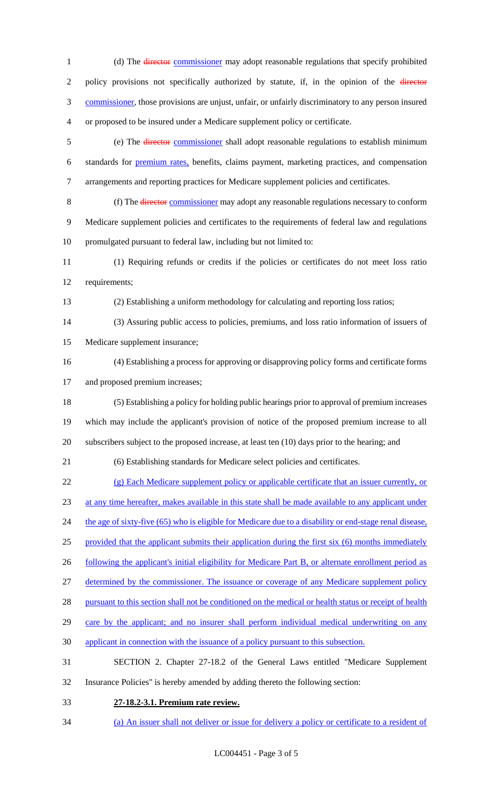1 (d) The director commissioner may adopt reasonable regulations that specify prohibited 2 policy provisions not specifically authorized by statute, if, in the opinion of the director commissioner, those provisions are unjust, unfair, or unfairly discriminatory to any person insured or proposed to be insured under a Medicare supplement policy or certificate. (e) The director commissioner shall adopt reasonable regulations to establish minimum standards for premium rates, benefits, claims payment, marketing practices, and compensation arrangements and reporting practices for Medicare supplement policies and certificates. (f) The director commissioner may adopt any reasonable regulations necessary to conform Medicare supplement policies and certificates to the requirements of federal law and regulations promulgated pursuant to federal law, including but not limited to: (1) Requiring refunds or credits if the policies or certificates do not meet loss ratio requirements; (2) Establishing a uniform methodology for calculating and reporting loss ratios; (3) Assuring public access to policies, premiums, and loss ratio information of issuers of Medicare supplement insurance; (4) Establishing a process for approving or disapproving policy forms and certificate forms and proposed premium increases; (5) Establishing a policy for holding public hearings prior to approval of premium increases which may include the applicant's provision of notice of the proposed premium increase to all subscribers subject to the proposed increase, at least ten (10) days prior to the hearing; and (6) Establishing standards for Medicare select policies and certificates. (g) Each Medicare supplement policy or applicable certificate that an issuer currently, or at any time hereafter, makes available in this state shall be made available to any applicant under 24 the age of sixty-five (65) who is eligible for Medicare due to a disability or end-stage renal disease, provided that the applicant submits their application during the first six (6) months immediately 26 following the applicant's initial eligibility for Medicare Part B, or alternate enrollment period as determined by the commissioner. The issuance or coverage of any Medicare supplement policy 28 pursuant to this section shall not be conditioned on the medical or health status or receipt of health 29 care by the applicant; and no insurer shall perform individual medical underwriting on any applicant in connection with the issuance of a policy pursuant to this subsection. SECTION 2. Chapter 27-18.2 of the General Laws entitled "Medicare Supplement Insurance Policies" is hereby amended by adding thereto the following section: **27-18.2-3.1. Premium rate review.** 

(a) An issuer shall not deliver or issue for delivery a policy or certificate to a resident of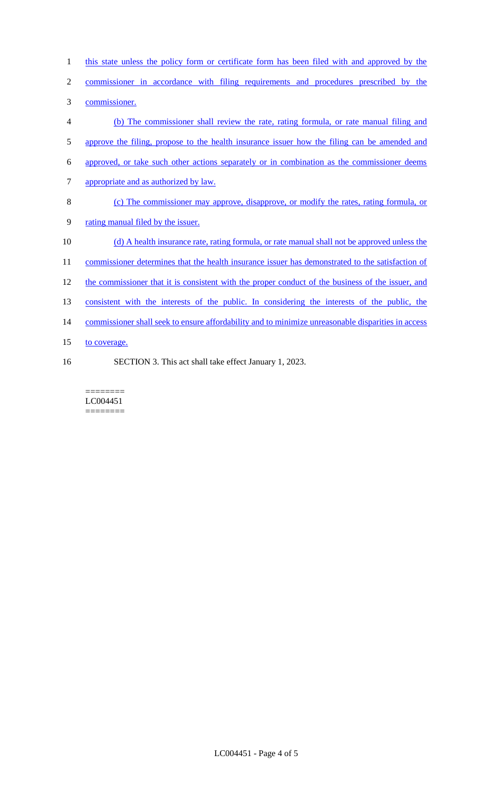| $\mathbf{1}$   | this state unless the policy form or certificate form has been filed with and approved by the      |
|----------------|----------------------------------------------------------------------------------------------------|
| $\overline{2}$ | commissioner in accordance with filing requirements and procedures prescribed by the               |
| 3              | commissioner.                                                                                      |
| 4              | (b) The commissioner shall review the rate, rating formula, or rate manual filing and              |
| 5              | approve the filing, propose to the health insurance issuer how the filing can be amended and       |
| 6              | approved, or take such other actions separately or in combination as the commissioner deems        |
| 7              | appropriate and as authorized by law.                                                              |
| 8              | (c) The commissioner may approve, disapprove, or modify the rates, rating formula, or              |
| 9              | rating manual filed by the issuer.                                                                 |
| 10             | (d) A health insurance rate, rating formula, or rate manual shall not be approved unless the       |
| 11             | commissioner determines that the health insurance issuer has demonstrated to the satisfaction of   |
| 12             | the commissioner that it is consistent with the proper conduct of the business of the issuer, and  |
| 13             | consistent with the interests of the public. In considering the interests of the public, the       |
| 14             | commissioner shall seek to ensure affordability and to minimize unreasonable disparities in access |
| 15             | to coverage.                                                                                       |
| 16             | SECTION 3. This act shall take effect January 1, 2023.                                             |

 $\begin{minipage}{0.9\linewidth} \begin{tabular}{l} \hline \textbf{r} & \textbf{r} \\ \hline \textbf{r} & \textbf{r} \\ \hline \textbf{r} & \textbf{r} \\ \hline \textbf{r} & \textbf{r} \\ \hline \textbf{r} & \textbf{r} \\ \hline \textbf{r} & \textbf{r} \\ \hline \textbf{r} & \textbf{r} \\ \hline \textbf{r} & \textbf{r} \\ \hline \textbf{r} & \textbf{r} \\ \hline \textbf{r} & \textbf{r} \\ \hline \textbf{r} & \textbf{r} \\ \hline \textbf{r} & \text$ LC004451 ========